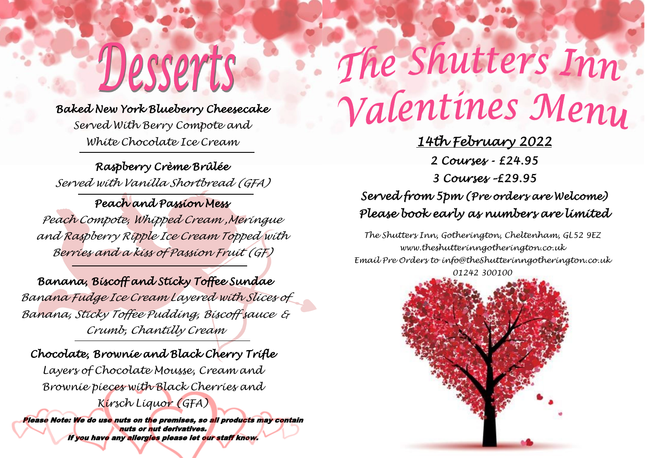### *Baked New York Blueberry Cheesecake*

Desserts

*Served With Berry Compote and White Chocolate Ice Cream* 

*Raspberry Crème Brûlée Served with Vanilla Shortbread (GFA)*

*Peach and Passion Mess Peach Compote, Whipped Cream ,Meringue and Raspberry Ripple Ice Cream Topped with Berries and a kiss of Passion Fruit (GF)*

*Banana, Biscoff and Sticky Toffee Sundae Banana Fudge Ice Cream Layered with Slices of Banana, Sticky Toffee Pudding, Biscoff sauce & Crumb, Chantilly Cream* 

#### *Chocolate, Brownie and Black Cherry Trifle*

*Layers of Chocolate Mousse, Cream and Brownie pieces with Black Cherries and Kirsch Liquor (GFA)*

Please Note: We do use nuts on the premises, so all products may contain nuts or nut derivatives. If you have any allergies please let our staff know.

# The Shutters Inn

## Valentines Meny

*14th February 2022 2 Courses - £24.95 3 Courses –£29.95 Served from 5pm (Pre orders are Welcome) Please book early as numbers are limited* 

*The Shutters Inn, Gotherington, Cheltenham, GL52 9EZ www.theshutterinngotherington.co.uk Email Pre Orders to info@theShutterinngotherington.co.uk 01242 300100*